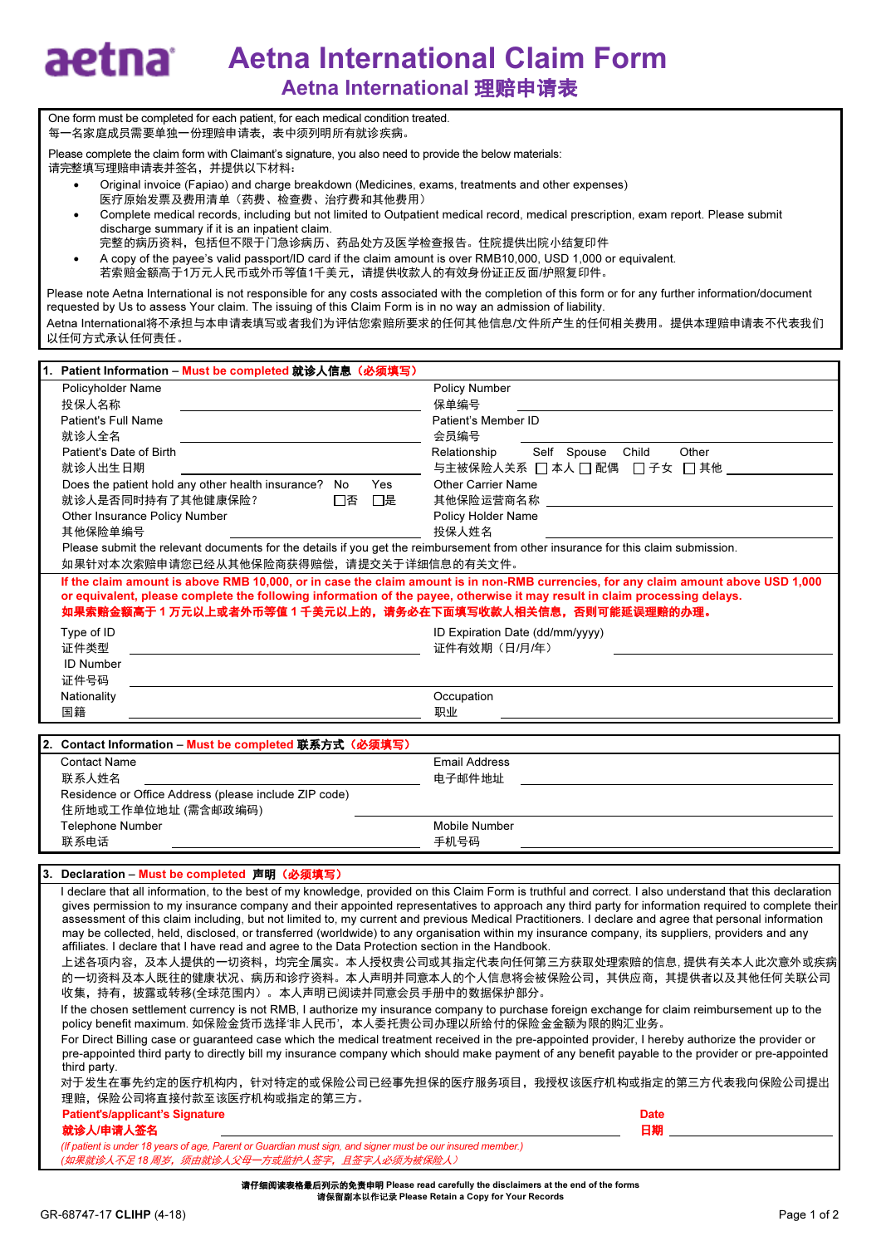## Aetna International Claim Form aetna Aetna International 理赔申请表

One form must be completed for each patient, for each medical condition treated. 每一名家庭成员需要单独一份理赔申请表,表中须列明所有就诊疾病。

Please complete the claim form with Claimant's signature, you also need to provide the below materials: 请完整填写理赔申请表并签名,并提供以下材料:

- Original invoice (Fapiao) and charge breakdown (Medicines, exams, treatments and other expenses) 医疗原始发票及费用清单(药费、检查费、治疗费和其他费用)
- Complete medical records, including but not limited to Outpatient medical record, medical prescription, exam report. Please submit discharge summary if it is an inpatient claim.
- 完整的病历资料,包括但不限于门急诊病历、药品处方及医学检查报告。住院提供出院小结复印件
- A copy of the payee's valid passport/ID card if the claim amount is over RMB10,000, USD 1,000 or equivalent. 若索赔金额高于1万元人民币或外币等值1千美元,请提供收款人的有效身份证正反面/护照复印件。

Please note Aetna International is not responsible for any costs associated with the completion of this form or for any further information/document requested by Us to assess Your claim. The issuing of this Claim Form is in no way an admission of liability. Aetna International将不承担与本申请表填写或者我们为评估您索赔所要求的任何其他信息/文件所产生的任何相关费用。提供本理赔申请表不代表我们 以任何方式承认任何责任。

| Patient Information - Must be completed 就诊人信息(必须填写)                                                                               |                                                                                                                                                           |  |  |  |  |  |  |
|-----------------------------------------------------------------------------------------------------------------------------------|-----------------------------------------------------------------------------------------------------------------------------------------------------------|--|--|--|--|--|--|
| Policyholder Name                                                                                                                 | <b>Policy Number</b>                                                                                                                                      |  |  |  |  |  |  |
| 投保人名称                                                                                                                             | 保单编号                                                                                                                                                      |  |  |  |  |  |  |
| Patient's Full Name                                                                                                               | Patient's Member ID                                                                                                                                       |  |  |  |  |  |  |
| 就诊人全名                                                                                                                             | 会员编号                                                                                                                                                      |  |  |  |  |  |  |
| Patient's Date of Birth                                                                                                           | Self Spouse Child<br>Other<br>Relationship                                                                                                                |  |  |  |  |  |  |
| 就诊人出生日期                                                                                                                           | 与主被保险人关系 □ 本人 □ 配偶 □ 子女 □ 其他 __                                                                                                                           |  |  |  |  |  |  |
| Does the patient hold any other health insurance? No<br>Yes                                                                       | <b>Other Carrier Name</b>                                                                                                                                 |  |  |  |  |  |  |
| □否 □是<br>就诊人是否同时持有了其他健康保险?                                                                                                        | 其他保险运营商名称                                                                                                                                                 |  |  |  |  |  |  |
| Other Insurance Policy Number                                                                                                     | Policy Holder Name                                                                                                                                        |  |  |  |  |  |  |
| 其他保险单编号                                                                                                                           | 投保人姓名                                                                                                                                                     |  |  |  |  |  |  |
| Please submit the relevant documents for the details if you get the reimbursement from other insurance for this claim submission. |                                                                                                                                                           |  |  |  |  |  |  |
| 如果针对本次索赔申请您已经从其他保险商获得赔偿,请提交关于详细信息的有关文件。                                                                                           |                                                                                                                                                           |  |  |  |  |  |  |
|                                                                                                                                   | If the claim amount is above RMB 10,000, or in case the claim amount is in non-RMB currencies, for any claim amount above USD 1,000                       |  |  |  |  |  |  |
| or equivalent, please complete the following information of the payee, otherwise it may result in claim processing delays.        |                                                                                                                                                           |  |  |  |  |  |  |
| 如果索赔金额高于 1 万元以上或者外币等值 1 千美元以上的,请务必在下面填写收款人相关信息,否则可能延误理赔的办理。                                                                       |                                                                                                                                                           |  |  |  |  |  |  |
| Type of ID                                                                                                                        | ID Expiration Date (dd/mm/yyyy)                                                                                                                           |  |  |  |  |  |  |
| 证件类型                                                                                                                              | 证件有效期 (日/月/年)                                                                                                                                             |  |  |  |  |  |  |
| <b>ID Number</b>                                                                                                                  |                                                                                                                                                           |  |  |  |  |  |  |
| 证件号码                                                                                                                              |                                                                                                                                                           |  |  |  |  |  |  |
| Nationality                                                                                                                       | Occupation                                                                                                                                                |  |  |  |  |  |  |
| 国籍                                                                                                                                | 职业                                                                                                                                                        |  |  |  |  |  |  |
|                                                                                                                                   |                                                                                                                                                           |  |  |  |  |  |  |
| 2. Contact Information - Must be completed 联系方式(必须填写)                                                                             |                                                                                                                                                           |  |  |  |  |  |  |
| <b>Contact Name</b>                                                                                                               | <b>Email Address</b>                                                                                                                                      |  |  |  |  |  |  |
| 联系人姓名                                                                                                                             | 电子邮件地址                                                                                                                                                    |  |  |  |  |  |  |
| Residence or Office Address (please include ZIP code)                                                                             |                                                                                                                                                           |  |  |  |  |  |  |
| 住所地或工作单位地址 (需含邮政编码)                                                                                                               |                                                                                                                                                           |  |  |  |  |  |  |
| <b>Telephone Number</b>                                                                                                           | <b>Mobile Number</b>                                                                                                                                      |  |  |  |  |  |  |
| 联系电话                                                                                                                              | 手机号码                                                                                                                                                      |  |  |  |  |  |  |
|                                                                                                                                   |                                                                                                                                                           |  |  |  |  |  |  |
| 3. Declaration – Must be completed 声明(必须填写)                                                                                       |                                                                                                                                                           |  |  |  |  |  |  |
|                                                                                                                                   | I declare that all information, to the best of my knowledge, provided on this Claim Form is truthful and correct. I also understand that this declaration |  |  |  |  |  |  |

## gives permission to my insurance company and their appointed representatives to approach any third party for information required to complete their assessment of this claim including, but not limited to, my current and previous Medical Practitioners. I declare and agree that personal information

may be collected, held, disclosed, or transferred (worldwide) to any organisation within my insurance company, its suppliers, providers and any affiliates. I declare that I have read and agree to the Data Protection section in the Handbook.

上述各项内容,及本人提供的一切资料,均完全属实。本人授权贵公司或其指定代表向任何第三方获取处理索赔的信息, 提供有关本人此次意外或疾病 的一切资料及本人既往的健康状况、病历和诊疗资料。本人声明并同意本人的个人信息将会被保险公司,其供应商,其提供者以及其他任何关联公司 收集,持有,披露或转移(全球范围内)。本人声明已阅读并同意会员手册中的数据保护部分。

If the chosen settlement currency is not RMB, I authorize my insurance company to purchase foreign exchange for claim reimbursement up to the policy benefit maximum. 如保险金货币选择'非人民币',本人委托贵公司办理以所给付的保险金金额为限的购汇业务。

For Direct Billing case or guaranteed case which the medical treatment received in the pre-appointed provider, I hereby authorize the provider or pre-appointed third party to directly bill my insurance company which should make payment of any benefit payable to the provider or pre-appointed third party.

对于发生在事先约定的医疗机构内,针对特定的或保险公司已经事先担保的医疗服务项目,我授权该医疗机构或指定的第三方代表我向保险公司提出 理赔,保险公司将直接付款至该医疗机构或指定的第三方。

| <b>Patient's/applicant's Signature</b>                                                                          | <b>Date</b> |
|-----------------------------------------------------------------------------------------------------------------|-------------|
|                                                                                                                 |             |
| and the state of the state of the state of the state of the state of the state of the state of the state of the |             |

就诊人/申请人签名 日期

(If patient is under 18 years of age, Parent or Guardian must sign, and signer must be our insured member.) (如果就诊人不足 18 周岁,须由就诊人父母一方或监护人签字,且签字人必须为被保险人)

请仔细阅读表格最后列示的免责申明 Please read carefully the disclaimers at the end of the forms 请保留副本以作记录 Please Retain a Copy for Your Records